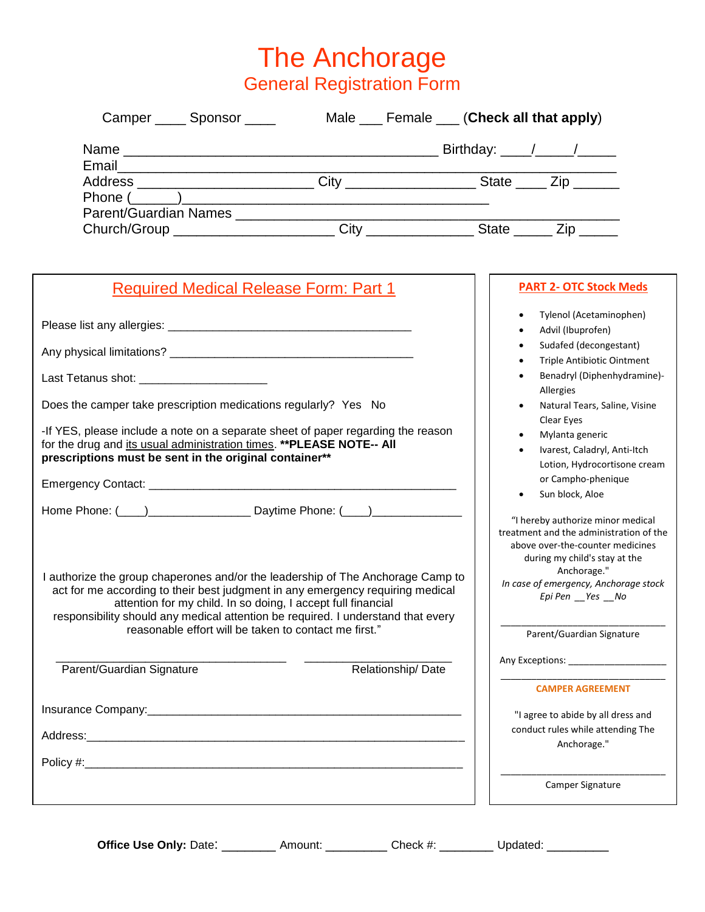The Anchorage General Registration Form

| Camper Sponsor                                                                   | Male Female (Check all that apply) |
|----------------------------------------------------------------------------------|------------------------------------|
|                                                                                  | Birthday: $\frac{\sqrt{2}}{2}$     |
| Address ________________________________City ___________________________________ | State $\_\_$ Zip $\_\_$            |
| Parent/Guardian Names _____________________                                      |                                    |
| Church/Group _______________________                                             | <b>City City</b><br>State<br>Zip   |

| <b>Required Medical Release Form: Part 1</b>                                                                                                                                                                                                                                                                          | <b>PART 2- OTC Stock Meds</b>                                                                                                                     |
|-----------------------------------------------------------------------------------------------------------------------------------------------------------------------------------------------------------------------------------------------------------------------------------------------------------------------|---------------------------------------------------------------------------------------------------------------------------------------------------|
|                                                                                                                                                                                                                                                                                                                       | Tylenol (Acetaminophen)<br>$\bullet$<br>Advil (Ibuprofen)<br>Sudafed (decongestant)                                                               |
|                                                                                                                                                                                                                                                                                                                       | Triple Antibiotic Ointment                                                                                                                        |
| Last Tetanus shot: _________________________                                                                                                                                                                                                                                                                          | Benadryl (Diphenhydramine)-<br>Allergies                                                                                                          |
| Does the camper take prescription medications regularly? Yes No                                                                                                                                                                                                                                                       | Natural Tears, Saline, Visine<br>Clear Eyes                                                                                                       |
| -If YES, please include a note on a separate sheet of paper regarding the reason<br>for the drug and its usual administration times. ** PLEASE NOTE-- All<br>prescriptions must be sent in the original container**                                                                                                   | Mylanta generic<br>Ivarest, Caladryl, Anti-Itch<br>Lotion, Hydrocortisone cream                                                                   |
|                                                                                                                                                                                                                                                                                                                       | or Campho-phenique<br>Sun block, Aloe                                                                                                             |
| Home Phone: (1, 2008) Daytime Phone: (2, 2008) Daytime Phone: (2, 2008)                                                                                                                                                                                                                                               | "I hereby authorize minor medical<br>treatment and the administration of the<br>above over-the-counter medicines<br>during my child's stay at the |
| I authorize the group chaperones and/or the leadership of The Anchorage Camp to<br>act for me according to their best judgment in any emergency requiring medical<br>attention for my child. In so doing, I accept full financial<br>responsibility should any medical attention be required. I understand that every | Anchorage."<br>In case of emergency, Anchorage stock<br>Epi Pen _Yes _No                                                                          |
| reasonable effort will be taken to contact me first."                                                                                                                                                                                                                                                                 | Parent/Guardian Signature                                                                                                                         |
| Relationship/Date<br>Parent/Guardian Signature                                                                                                                                                                                                                                                                        | Any Exceptions: ______________________                                                                                                            |
|                                                                                                                                                                                                                                                                                                                       | <b>CAMPER AGREEMENT</b>                                                                                                                           |
|                                                                                                                                                                                                                                                                                                                       | "I agree to abide by all dress and                                                                                                                |
|                                                                                                                                                                                                                                                                                                                       | conduct rules while attending The<br>Anchorage."                                                                                                  |
|                                                                                                                                                                                                                                                                                                                       |                                                                                                                                                   |
|                                                                                                                                                                                                                                                                                                                       | Camper Signature                                                                                                                                  |
|                                                                                                                                                                                                                                                                                                                       |                                                                                                                                                   |

**Office Use Only:** Date: \_\_\_\_\_\_\_\_\_\_ Amount: \_\_\_\_\_\_\_\_\_\_ Check #: \_\_\_\_\_\_\_\_ Updated: \_\_\_\_\_\_\_\_\_\_